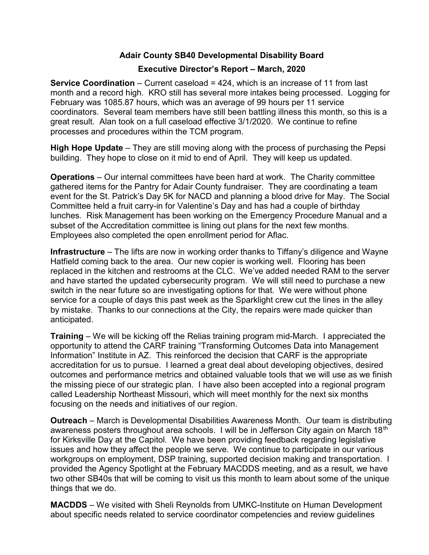## Adair County SB40 Developmental Disability Board

## Executive Director's Report – March, 2020

Service Coordination – Current caseload = 424, which is an increase of 11 from last month and a record high. KRO still has several more intakes being processed. Logging for February was 1085.87 hours, which was an average of 99 hours per 11 service coordinators. Several team members have still been battling illness this month, so this is a great result. Alan took on a full caseload effective 3/1/2020. We continue to refine processes and procedures within the TCM program.

High Hope Update – They are still moving along with the process of purchasing the Pepsi building. They hope to close on it mid to end of April. They will keep us updated.

Operations – Our internal committees have been hard at work. The Charity committee gathered items for the Pantry for Adair County fundraiser. They are coordinating a team event for the St. Patrick's Day 5K for NACD and planning a blood drive for May. The Social Committee held a fruit carry-in for Valentine's Day and has had a couple of birthday lunches. Risk Management has been working on the Emergency Procedure Manual and a subset of the Accreditation committee is lining out plans for the next few months. Employees also completed the open enrollment period for Aflac.

Infrastructure – The lifts are now in working order thanks to Tiffany's diligence and Wayne Hatfield coming back to the area. Our new copier is working well. Flooring has been replaced in the kitchen and restrooms at the CLC. We've added needed RAM to the server and have started the updated cybersecurity program. We will still need to purchase a new switch in the near future so are investigating options for that. We were without phone service for a couple of days this past week as the Sparklight crew cut the lines in the alley by mistake. Thanks to our connections at the City, the repairs were made quicker than anticipated.

Training – We will be kicking off the Relias training program mid-March. I appreciated the opportunity to attend the CARF training "Transforming Outcomes Data into Management Information" Institute in AZ. This reinforced the decision that CARF is the appropriate accreditation for us to pursue. I learned a great deal about developing objectives, desired outcomes and performance metrics and obtained valuable tools that we will use as we finish the missing piece of our strategic plan. I have also been accepted into a regional program called Leadership Northeast Missouri, which will meet monthly for the next six months focusing on the needs and initiatives of our region.

Outreach – March is Developmental Disabilities Awareness Month. Our team is distributing awareness posters throughout area schools. I will be in Jefferson City again on March 18<sup>th</sup> for Kirksville Day at the Capitol. We have been providing feedback regarding legislative issues and how they affect the people we serve. We continue to participate in our various workgroups on employment, DSP training, supported decision making and transportation. I provided the Agency Spotlight at the February MACDDS meeting, and as a result, we have two other SB40s that will be coming to visit us this month to learn about some of the unique things that we do.

MACDDS – We visited with Sheli Reynolds from UMKC-Institute on Human Development about specific needs related to service coordinator competencies and review guidelines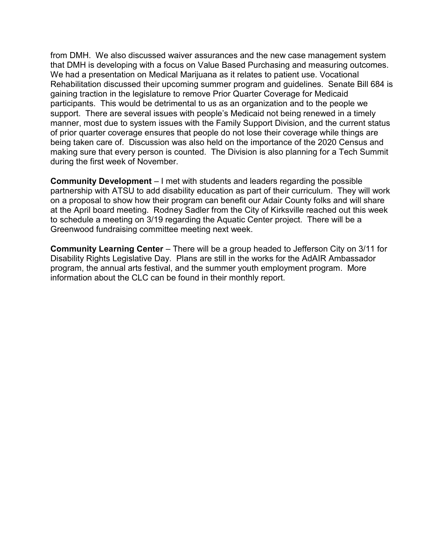from DMH. We also discussed waiver assurances and the new case management system that DMH is developing with a focus on Value Based Purchasing and measuring outcomes. We had a presentation on Medical Marijuana as it relates to patient use. Vocational Rehabilitation discussed their upcoming summer program and guidelines. Senate Bill 684 is gaining traction in the legislature to remove Prior Quarter Coverage for Medicaid participants. This would be detrimental to us as an organization and to the people we support. There are several issues with people's Medicaid not being renewed in a timely manner, most due to system issues with the Family Support Division, and the current status of prior quarter coverage ensures that people do not lose their coverage while things are being taken care of. Discussion was also held on the importance of the 2020 Census and making sure that every person is counted. The Division is also planning for a Tech Summit during the first week of November.

Community Development – I met with students and leaders regarding the possible partnership with ATSU to add disability education as part of their curriculum. They will work on a proposal to show how their program can benefit our Adair County folks and will share at the April board meeting. Rodney Sadler from the City of Kirksville reached out this week to schedule a meeting on 3/19 regarding the Aquatic Center project. There will be a Greenwood fundraising committee meeting next week.

Community Learning Center – There will be a group headed to Jefferson City on 3/11 for Disability Rights Legislative Day. Plans are still in the works for the AdAIR Ambassador program, the annual arts festival, and the summer youth employment program. More information about the CLC can be found in their monthly report.